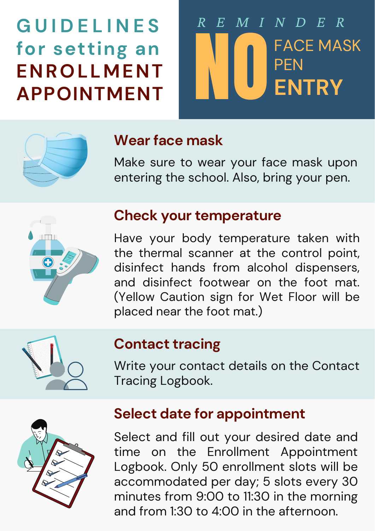Select and fill out your desired date and time on the Enrollment Appointment Logbook. Only 50 enrollment slots will be accommodated per day; 5 slots every 30 minutes from 9:00 to 11:30 in the morning and from 1:30 to 4:00 in the afternoon.

**G U I D E L I N E S for setting an ENROLLMENT APPOINTMENT**

> Have your body temperature taken with the thermal scanner at the control point, disinfect hands from alcohol dispensers, and disinfect footwear on the foot mat. (Yellow Caution sign for Wet Floor will be placed near the foot mat.)



# **Check your temperature**

## **Wearface mask**

Make sure to wear your face mask upon entering the school. Also, bring your pen.



# **Select date for appointment**

# **Contact tracing**

Write your contact details on the Contact Tracing Logbook.





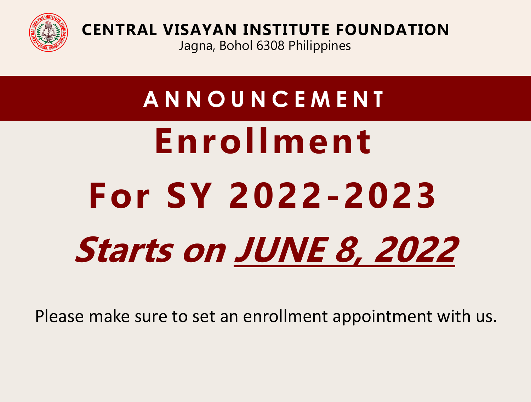

**CENTRAL VISAYAN INSTITUTE FOUNDATION** Jagna, Bohol 6308 Philippines

**A N N O U N C E M E N T Enrollment** 

# **For SY 2022-2023 Starts on JUNE 8, 2022**

Please make sure to set an enrollment appointment with us.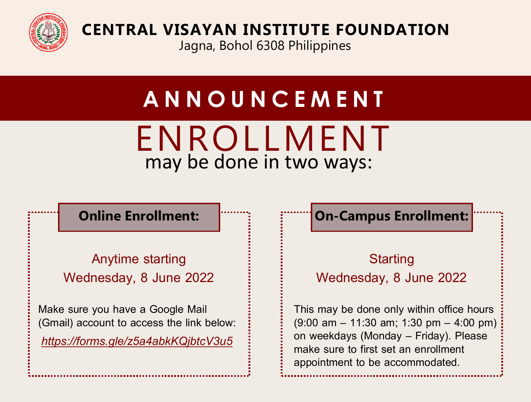

**CENTRAL VISAYAN INSTITUTE FOUNDATION**

Jagna, Bohol 6308 Philippines

# **A N N O U N C E M E N T**

## ENROLLMENT may be done in two ways:

## **Online Enrollment:**

Anytime starting Wednesday, 8 June 2022

Make sure you have a Google Mail (Gmail) account to access the link below: *<https://forms.gle/z5a4abkKQjbtcV3u5>*

## **On-Campus Enrollment:**

## **Starting** Wednesday, 8 June 2022

This may be done only within office hours (9:00 am – 11:30 am; 1:30 pm – 4:00 pm) on weekdays (Monday – Friday). Please make sure to first set an enrollment appointment to be accommodated.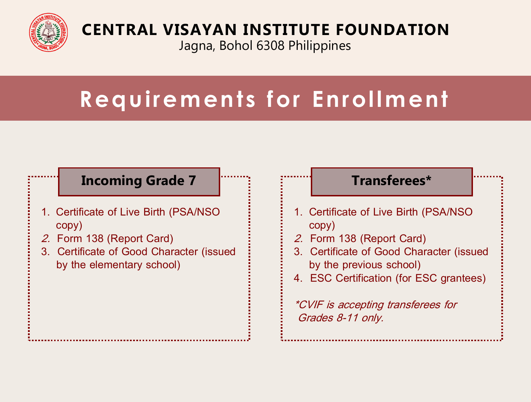

## **CENTRAL VISAYAN INSTITUTE FOUNDATION**

Jagna, Bohol 6308 Philippines

# **Requirements for Enrollment**

### **Incoming Grade 7**

- 1. Certificate of Live Birth (PSA/NSO copy)
- 2. Form 138 (Report Card)
- 3. Certificate of Good Character (issued by the elementary school)

#### **Transferees\***

- 1. Certificate of Live Birth (PSA/NSO copy)
- 2. Form 138 (Report Card)
- 3. Certificate of Good Character (issued by the previous school)
- 4. ESC Certification (for ESC grantees)

\*CVIF is accepting transferees for Grades 8-11 only.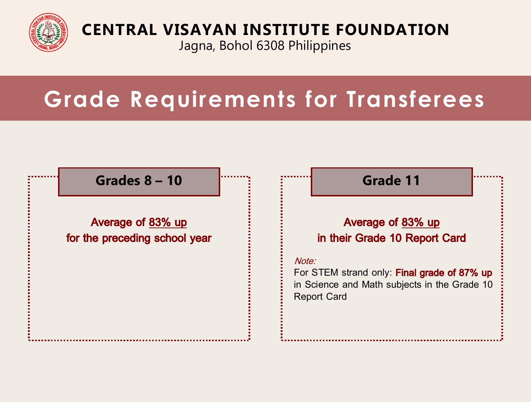

## **CENTRAL VISAYAN INSTITUTE FOUNDATION**

Jagna, Bohol 6308 Philippines

# **Grade Requirements for Transferees**

### **Grades 8 – 10**

Average of 83% up for the preceding school year **Grade 11**

#### Average of 83% up in their Grade 10 Report Card

#### Note:

For STEM strand only: Final grade of 87% up in Science and Math subjects in the Grade 10 Report Card